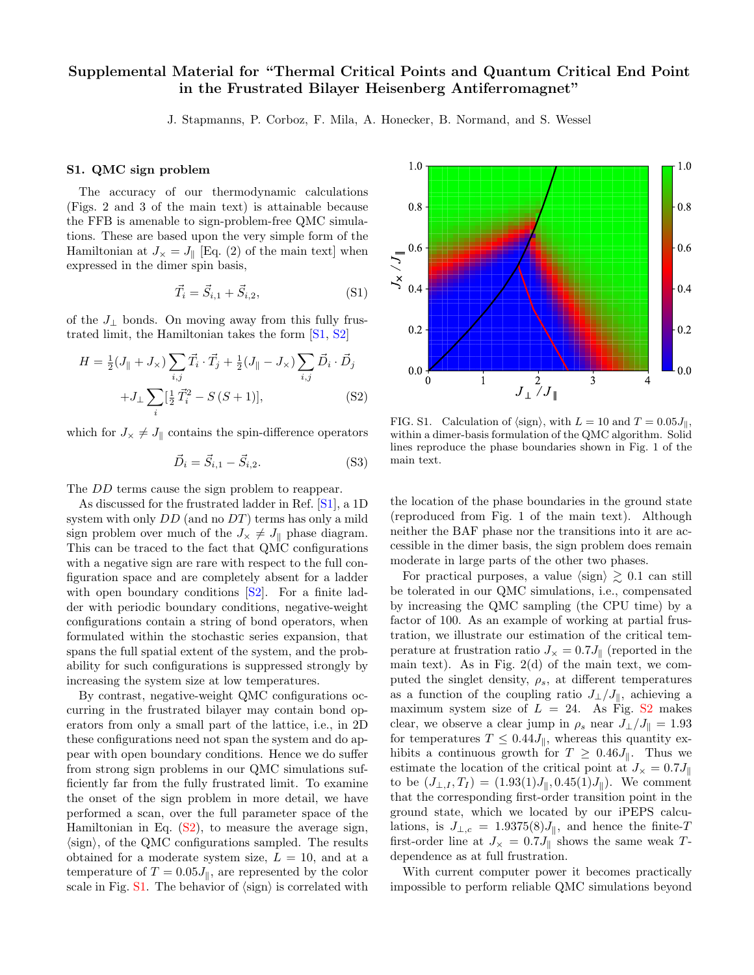## Supplemental Material for "Thermal Critical Points and Quantum Critical End Point in the Frustrated Bilayer Heisenberg Antiferromagnet"

J. Stapmanns, P. Corboz, F. Mila, A. Honecker, B. Normand, and S. Wessel

## S1. QMC sign problem

The accuracy of our thermodynamic calculations (Figs. 2 and 3 of the main text) is attainable because the FFB is amenable to sign-problem-free QMC simulations. These are based upon the very simple form of the Hamiltonian at  $J_{\times} = J_{\parallel}$  [Eq. (2) of the main text] when expressed in the dimer spin basis,

$$
\vec{T}_i = \vec{S}_{i,1} + \vec{S}_{i,2},\tag{S1}
$$

of the  $J_{\perp}$  bonds. On moving away from this fully frustrated limit, the Hamiltonian takes the form [\[S1,](#page-3-0) [S2\]](#page-3-1)

<span id="page-0-0"></span>
$$
H = \frac{1}{2}(J_{\parallel} + J_{\times}) \sum_{i,j} \vec{T}_i \cdot \vec{T}_j + \frac{1}{2}(J_{\parallel} - J_{\times}) \sum_{i,j} \vec{D}_i \cdot \vec{D}_j
$$
  
+ 
$$
J_{\perp} \sum_{i} [\frac{1}{2} \vec{T}_i^2 - S(S+1)],
$$
 (S2)

which for  $J_{\times} \neq J_{\parallel}$  contains the spin-difference operators

$$
\vec{D}_i = \vec{S}_{i,1} - \vec{S}_{i,2}.
$$
 (S3)

The *DD* terms cause the sign problem to reappear.

As discussed for the frustrated ladder in Ref. [\[S1\]](#page-3-0), a 1D system with only  $DD$  (and no  $DT$ ) terms has only a mild sign problem over much of the  $J_{\times} \neq J_{\parallel}$  phase diagram. This can be traced to the fact that QMC configurations with a negative sign are rare with respect to the full configuration space and are completely absent for a ladder with open boundary conditions  $[S2]$ . For a finite ladder with periodic boundary conditions, negative-weight configurations contain a string of bond operators, when formulated within the stochastic series expansion, that spans the full spatial extent of the system, and the probability for such configurations is suppressed strongly by increasing the system size at low temperatures.

By contrast, negative-weight QMC configurations occurring in the frustrated bilayer may contain bond operators from only a small part of the lattice, i.e., in 2D these configurations need not span the system and do appear with open boundary conditions. Hence we do suffer from strong sign problems in our QMC simulations sufficiently far from the fully frustrated limit. To examine the onset of the sign problem in more detail, we have performed a scan, over the full parameter space of the Hamiltonian in Eq. [\(S2\)](#page-0-0), to measure the average sign,  $\langle$ sign $\rangle$ , of the QMC configurations sampled. The results obtained for a moderate system size,  $L = 10$ , and at a temperature of  $T = 0.05J_{\parallel}$ , are represented by the color scale in Fig.  $S1$ . The behavior of  $\langle sign \rangle$  is correlated with



<span id="page-0-1"></span>FIG. S1. Calculation of  $\langle \text{sign} \rangle$ , with  $L = 10$  and  $T = 0.05J_{\parallel}$ , within a dimer-basis formulation of the QMC algorithm. Solid lines reproduce the phase boundaries shown in Fig. 1 of the main text.

the location of the phase boundaries in the ground state (reproduced from Fig. 1 of the main text). Although neither the BAF phase nor the transitions into it are accessible in the dimer basis, the sign problem does remain moderate in large parts of the other two phases.

For practical purposes, a value  $\langle \text{sign} \rangle \geq 0.1$  can still be tolerated in our QMC simulations, i.e., compensated by increasing the QMC sampling (the CPU time) by a factor of 100. As an example of working at partial frustration, we illustrate our estimation of the critical temperature at frustration ratio  $J_{\times} = 0.7 J_{\parallel}$  (reported in the main text). As in Fig.  $2(d)$  of the main text, we computed the singlet density,  $\rho_s$ , at different temperatures as a function of the coupling ratio  $J_{\perp}/J_{\parallel}$ , achieving a maximum system size of  $L = 24$ . As Fig. [S2](#page-1-0) makes clear, we observe a clear jump in  $\rho_s$  near  $J_{\perp}/J_{\parallel} = 1.93$ for temperatures  $T \leq 0.44 J_{\parallel}$ , whereas this quantity exhibits a continuous growth for  $T \geq 0.46J_{\parallel}$ . Thus we estimate the location of the critical point at  $J_{\times} = 0.7 J_{\parallel}$ to be  $(J_{\perp,I},T_I) = (1.93(1)J_{\parallel}, 0.45(1)J_{\parallel})$ . We comment that the corresponding first-order transition point in the ground state, which we located by our iPEPS calculations, is  $J_{\perp,c} = 1.9375(8)J_{\parallel}$ , and hence the finite-T first-order line at  $J_{\times} = 0.7J_{\parallel}$  shows the same weak Tdependence as at full frustration.

With current computer power it becomes practically impossible to perform reliable QMC simulations beyond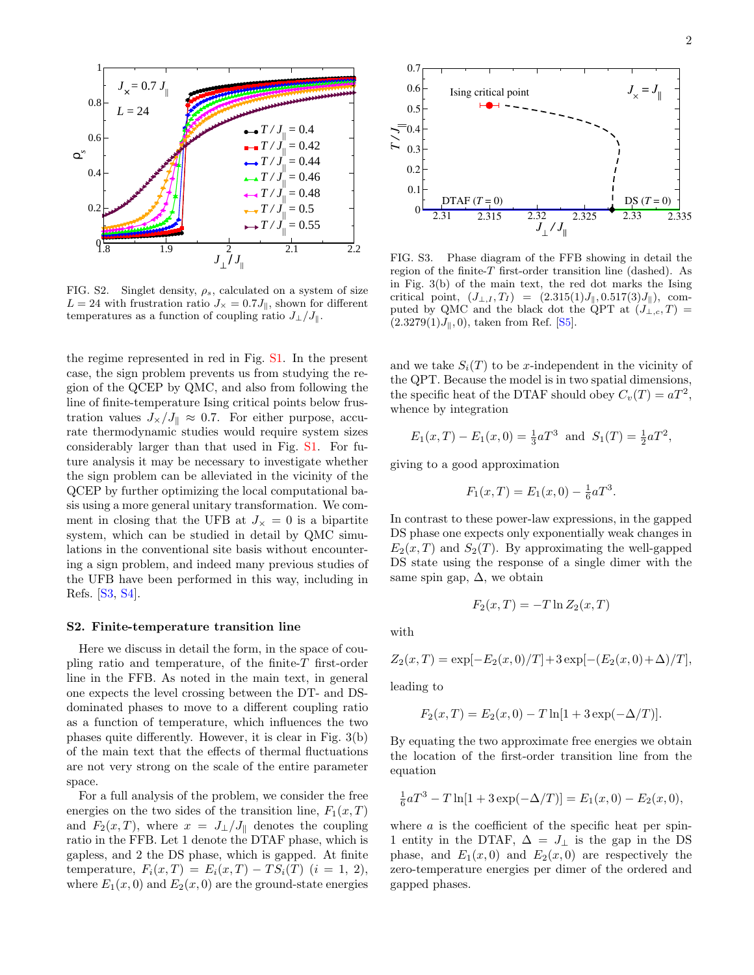

<span id="page-1-0"></span>FIG. S2. Singlet density,  $\rho_s$ , calculated on a system of size  $L = 24$  with frustration ratio  $J_{\times} = 0.7 J_{\parallel}$ , shown for different temperatures as a function of coupling ratio  $J_{\perp}/J_{\parallel}$ .

the regime represented in red in Fig. [S1.](#page-0-1) In the present case, the sign problem prevents us from studying the region of the QCEP by QMC, and also from following the line of finite-temperature Ising critical points below frustration values  $J_{\times}/J_{\parallel} \approx 0.7$ . For either purpose, accurate thermodynamic studies would require system sizes considerably larger than that used in Fig. [S1.](#page-0-1) For future analysis it may be necessary to investigate whether the sign problem can be alleviated in the vicinity of the QCEP by further optimizing the local computational basis using a more general unitary transformation. We comment in closing that the UFB at  $J_{\times} = 0$  is a bipartite system, which can be studied in detail by QMC simulations in the conventional site basis without encountering a sign problem, and indeed many previous studies of the UFB have been performed in this way, including in Refs. [\[S3,](#page-3-2) [S4\]](#page-3-3).

## S2. Finite-temperature transition line

Here we discuss in detail the form, in the space of coupling ratio and temperature, of the finite- $T$  first-order line in the FFB. As noted in the main text, in general one expects the level crossing between the DT- and DSdominated phases to move to a different coupling ratio as a function of temperature, which influences the two phases quite differently. However, it is clear in Fig. 3(b) of the main text that the effects of thermal fluctuations are not very strong on the scale of the entire parameter space.

For a full analysis of the problem, we consider the free energies on the two sides of the transition line,  $F_1(x,T)$ and  $F_2(x,T)$ , where  $x = J_{\perp}/J_{\parallel}$  denotes the coupling ratio in the FFB. Let 1 denote the DTAF phase, which is gapless, and 2 the DS phase, which is gapped. At finite temperature,  $F_i(x,T) = E_i(x,T) - TS_i(T)$   $(i = 1, 2),$ where  $E_1(x, 0)$  and  $E_2(x, 0)$  are the ground-state energies



<span id="page-1-1"></span>FIG. S3. Phase diagram of the FFB showing in detail the region of the finite-T first-order transition line (dashed). As in Fig. 3(b) of the main text, the red dot marks the Ising critical point,  $(J_{\perp,I},T_I) = (2.315(1)J_{\parallel}, 0.517(3)J_{\parallel}),$  computed by QMC and the black dot the QPT at  $(J_{\perp,c},T)$  =  $(2.3279(1)J_{\parallel}, 0)$ , taken from Ref. [\[S5\]](#page-3-4).

and we take  $S_i(T)$  to be x-independent in the vicinity of the QPT. Because the model is in two spatial dimensions, the specific heat of the DTAF should obey  $C_v(T) = aT^2$ , whence by integration

$$
E_1(x,T) - E_1(x,0) = \frac{1}{3}aT^3
$$
 and  $S_1(T) = \frac{1}{2}aT^2$ ,

giving to a good approximation

$$
F_1(x,T) = E_1(x,0) - \frac{1}{6}aT^3.
$$

In contrast to these power-law expressions, in the gapped DS phase one expects only exponentially weak changes in  $E_2(x,T)$  and  $S_2(T)$ . By approximating the well-gapped DS state using the response of a single dimer with the same spin gap,  $\Delta$ , we obtain

$$
F_2(x,T) = -T \ln Z_2(x,T)
$$

with

$$
Z_2(x,T) = \exp[-E_2(x,0)/T] + 3\exp[-(E_2(x,0) + \Delta)/T],
$$

leading to

$$
F_2(x,T) = E_2(x,0) - T \ln[1 + 3 \exp(-\Delta/T)].
$$

By equating the two approximate free energies we obtain the location of the first-order transition line from the equation

$$
\frac{1}{6}aT^3 - T\ln[1 + 3\exp(-\Delta/T)] = E_1(x,0) - E_2(x,0),
$$

where  $a$  is the coefficient of the specific heat per spin-1 entity in the DTAF,  $\Delta = J_{\perp}$  is the gap in the DS phase, and  $E_1(x,0)$  and  $E_2(x,0)$  are respectively the zero-temperature energies per dimer of the ordered and gapped phases.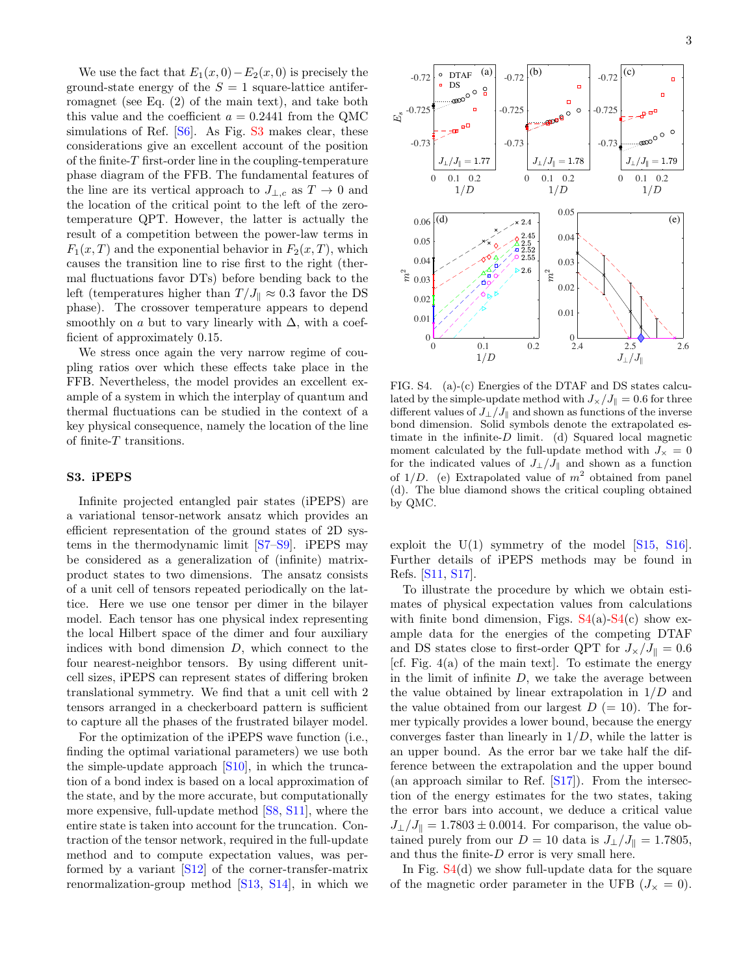We use the fact that  $E_1(x, 0) - E_2(x, 0)$  is precisely the ground-state energy of the  $S = 1$  square-lattice antiferromagnet (see Eq. (2) of the main text), and take both this value and the coefficient  $a = 0.2441$  from the QMC simulations of Ref. [\[S6\]](#page-3-5). As Fig. [S3](#page-1-1) makes clear, these considerations give an excellent account of the position of the finite- $T$  first-order line in the coupling-temperature phase diagram of the FFB. The fundamental features of the line are its vertical approach to  $J_{\perp,c}$  as  $T \to 0$  and the location of the critical point to the left of the zerotemperature QPT. However, the latter is actually the result of a competition between the power-law terms in  $F_1(x,T)$  and the exponential behavior in  $F_2(x,T)$ , which causes the transition line to rise first to the right (thermal fluctuations favor DTs) before bending back to the left (temperatures higher than  $T/J_{\parallel} \approx 0.3$  favor the DS phase). The crossover temperature appears to depend smoothly on a but to vary linearly with  $\Delta$ , with a coefficient of approximately 0.15.

We stress once again the very narrow regime of coupling ratios over which these effects take place in the FFB. Nevertheless, the model provides an excellent example of a system in which the interplay of quantum and thermal fluctuations can be studied in the context of a key physical consequence, namely the location of the line of finite- $T$  transitions.

## S3. iPEPS

Infinite projected entangled pair states (iPEPS) are a variational tensor-network ansatz which provides an efficient representation of the ground states of 2D systems in the thermodynamic limit [\[S7–](#page-3-6)[S9\]](#page-3-7). iPEPS may be considered as a generalization of (infinite) matrixproduct states to two dimensions. The ansatz consists of a unit cell of tensors repeated periodically on the lattice. Here we use one tensor per dimer in the bilayer model. Each tensor has one physical index representing the local Hilbert space of the dimer and four auxiliary indices with bond dimension  $D$ , which connect to the four nearest-neighbor tensors. By using different unitcell sizes, iPEPS can represent states of differing broken translational symmetry. We find that a unit cell with 2 tensors arranged in a checkerboard pattern is sufficient to capture all the phases of the frustrated bilayer model.

For the optimization of the iPEPS wave function (i.e., finding the optimal variational parameters) we use both the simple-update approach [\[S10\]](#page-3-8), in which the truncation of a bond index is based on a local approximation of the state, and by the more accurate, but computationally more expensive, full-update method [\[S8,](#page-3-9) [S11\]](#page-3-10), where the entire state is taken into account for the truncation. Contraction of the tensor network, required in the full-update method and to compute expectation values, was performed by a variant [\[S12\]](#page-3-11) of the corner-transfer-matrix renormalization-group method [\[S13,](#page-3-12) [S14\]](#page-3-13), in which we



<span id="page-2-0"></span>FIG. S4. (a)-(c) Energies of the DTAF and DS states calculated by the simple-update method with  $J_x/J_{\parallel} = 0.6$  for three different values of  $J_{\perp}/J_{\parallel}$  and shown as functions of the inverse bond dimension. Solid symbols denote the extrapolated estimate in the infinite- $D$  limit. (d) Squared local magnetic moment calculated by the full-update method with  $J_{\times} = 0$ for the indicated values of  $J_{\perp}/J_{\parallel}$  and shown as a function of  $1/D$ . (e) Extrapolated value of  $m<sup>2</sup>$  obtained from panel (d). The blue diamond shows the critical coupling obtained by QMC.

exploit the  $U(1)$  symmetry of the model  $[S15, S16]$  $[S15, S16]$  $[S15, S16]$ . Further details of iPEPS methods may be found in Refs. [\[S11,](#page-3-10) [S17\]](#page-3-16).

To illustrate the procedure by which we obtain estimates of physical expectation values from calculations with finite bond dimension, Figs.  $S4(a)-S4(c)$  $S4(a)-S4(c)$  $S4(a)-S4(c)$  $S4(a)-S4(c)$  show example data for the energies of the competing DTAF and DS states close to first-order QPT for  $J_x/J_{\parallel} = 0.6$ [cf. Fig.  $4(a)$  of the main text]. To estimate the energy in the limit of infinite  $D$ , we take the average between the value obtained by linear extrapolation in  $1/D$  and the value obtained from our largest  $D (= 10)$ . The former typically provides a lower bound, because the energy converges faster than linearly in  $1/D$ , while the latter is an upper bound. As the error bar we take half the difference between the extrapolation and the upper bound (an approach similar to Ref. [\[S17\]](#page-3-16)). From the intersection of the energy estimates for the two states, taking the error bars into account, we deduce a critical value  $J_{\perp}/J_{\parallel} = 1.7803 \pm 0.0014$ . For comparison, the value obtained purely from our  $D = 10$  data is  $J_{\perp}/J_{\parallel} = 1.7805$ , and thus the finite- $D$  error is very small here.

In Fig. [S4\(](#page-2-0)d) we show full-update data for the square of the magnetic order parameter in the UFB  $(J_{\times} = 0)$ .